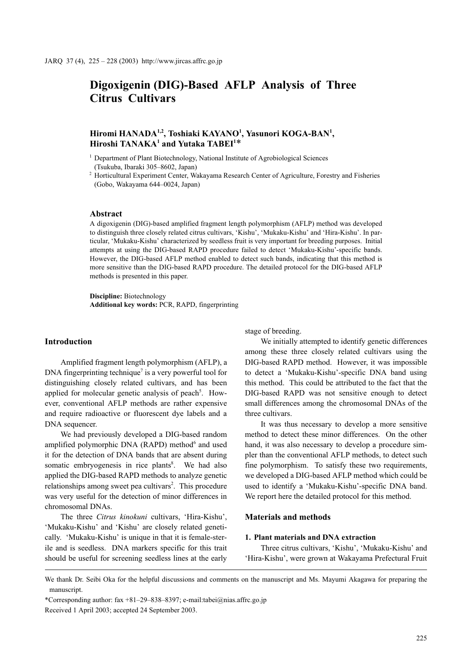# Digoxigenin (DIG)-Based AFLP Analysis of Three Citrus Cultivars

## Hiromi HANADA<sup>1,2</sup>, Toshiaki KAYANO<sup>1</sup>, Yasunori KOGA-BAN<sup>1</sup>,  $\frac{1}{2}$  Hiroshi TANAKA<sup>1</sup> and Yutaka TABEI<sup>1\*</sup>

<sup>1</sup> Department of Plant Biotechnology, National Institute of Agrobiological Sciences (Tsukuba, Ibaraki 305–8602, Japan)

<sup>2</sup> Horticultural Experiment Center, Wakayama Research Center of Agriculture, Forestry and Fisheries (Gobo, Wakayama 644–0024, Japan)

#### Abstract

A digoxigenin (DIG)-based amplified fragment length polymorphism (AFLP) method was developed to distinguish three closely related citrus cultivars, 'Kishu', 'Mukaku-Kishu' and 'Hira-Kishu'. In particular, 'Mukaku-Kishu' characterized by seedless fruit is very important for breeding purposes. Initial attempts at using the DIG-based RAPD procedure failed to detect 'Mukaku-Kishu'-specific bands. However, the DIG-based AFLP method enabled to detect such bands, indicating that this method is more sensitive than the DIG-based RAPD procedure. The detailed protocol for the DIG-based AFLP methods is presented in this paper.

Discipline: Biotechnology Additional key words: PCR, RAPD, fingerprinting

## Introduction

Amplified fragment length polymorphism (AFLP), a DNA fingerprinting technique<sup>7</sup> is a very powerful tool for distinguishing closely related cultivars, and has been applied for molecular genetic analysis of peach<sup>5</sup>. However, conventional AFLP methods are rather expensive and require radioactive or fluorescent dye labels and a DNA sequencer.

We had previously developed a DIG-based random amplified polymorphic DNA (RAPD) method<sup>6</sup> and used it for the detection of DNA bands that are absent during somatic embryogenesis in rice plants<sup>8</sup>. We had also applied the DIG-based RAPD methods to analyze genetic relationships among sweet pea cultivars<sup>2</sup>. This procedure was very useful for the detection of minor differences in chromosomal DNAs.

The three Citrus kinokuni cultivars, 'Hira-Kishu', 'Mukaku-Kishu' and 'Kishu' are closely related genetically. 'Mukaku-Kishu' is unique in that it is female-sterile and is seedless. DNA markers specific for this trait should be useful for screening seedless lines at the early stage of breeding.

We initially attempted to identify genetic differences among these three closely related cultivars using the DIG-based RAPD method. However, it was impossible to detect a 'Mukaku-Kishu'-specific DNA band using this method. This could be attributed to the fact that the DIG-based RAPD was not sensitive enough to detect small differences among the chromosomal DNAs of the three cultivars.

It was thus necessary to develop a more sensitive method to detect these minor differences. On the other hand, it was also necessary to develop a procedure simpler than the conventional AFLP methods, to detect such fine polymorphism. To satisfy these two requirements, we developed a DIG-based AFLP method which could be used to identify a 'Mukaku-Kishu'-specific DNA band. We report here the detailed protocol for this method.

## Materials and methods

## 1. Plant materials and DNA extraction

Three citrus cultivars, 'Kishu', 'Mukaku-Kishu' and 'Hira-Kishu', were grown at Wakayama Prefectural Fruit

\*Corresponding author: fax +81–29–838–8397; e-mail:tabei@nias.affrc.go.jp

We thank Dr. Seibi Oka for the helpful discussions and comments on the manuscript and Ms. Mayumi Akagawa for preparing the manuscript.

Received 1 April 2003; accepted 24 September 2003.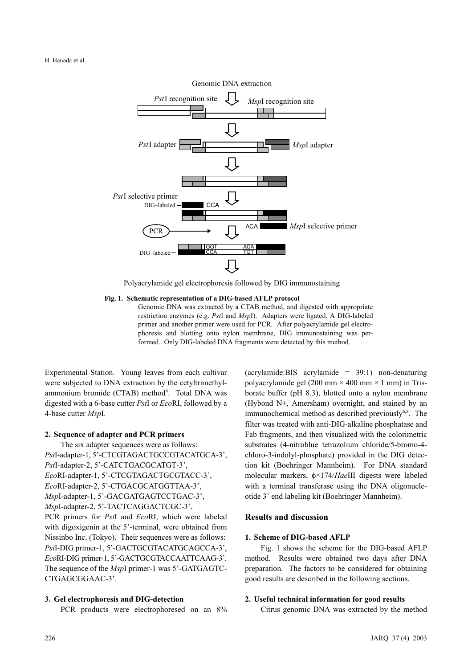

Polyacrylamide gel electrophoresis followed by DIG immunostaining

#### Fig. 1. Schematic representation of a DIG-based AFLP protocol

Genomic DNA was extracted by a CTAB method, and digested with appropriate restriction enzymes (e.g. PstI and MspI). Adapters were ligated. A DIG-labeled primer and another primer were used for PCR. After polyacrylamide gel electrophoresis and blotting onto nylon membrane, DIG immunostaining was performed. Only DIG-labeled DNA fragments were detected by this method.

Experimental Station. Young leaves from each cultivar were subjected to DNA extraction by the cetyltrimethylammonium bromide (CTAB) method<sup>4</sup>. Total DNA was digested with a 6-base cutter PstI or EcoRI, followed by a 4-base cutter MspI.

#### 2. Sequence of adapter and PCR primers

The six adapter sequences were as follows: PstI-adapter-1, 5'-CTCGTAGACTGCCGTACATGCA-3', PstI-adapter-2, 5'-CATCTGACGCATGT-3', EcoRI-adapter-1, 5'-CTCGTAGACTGCGTACC-3', EcoRI-adapter-2, 5'-CTGACGCATGGTTAA-3', MspI-adapter-1, 5'-GACGATGAGTCCTGAC-3', MspI-adapter-2, 5'-TACTCAGGACTCGC-3', PCR primers for *PstI* and *EcoRI*, which were labeled with digoxigenin at the 5'-terminal, were obtained from Nissinbo Inc. (Tokyo). Their sequences were as follows: PstI-DIG primer-1, 5'-GACTGCGTACATGCAGCCA-3', EcoRI-DIG primer-1, 5'-GACTGCGTACCAATTCAAG-3'. The sequence of the *MspI* primer-1 was 5'-GATGAGTC-CTGAGCGGAAC-3'.

#### 3. Gel electrophoresis and DIG-detection

PCR products were electrophoresed on an 8%

(acrylamide:BIS acrylamide = 39:1) non-denaturing polyacrylamide gel (200 mm  $\times$  400 mm  $\times$  1 mm) in Trisborate buffer (pH 8.3), blotted onto a nylon membrane (Hybond N+, Amersham) overnight, and stained by an immunochemical method as described previously $6,8$ . The filter was treated with anti-DIG-alkaline phosphatase and Fab fragments, and then visualized with the colorimetric substrates (4-nitroblue tetrazolium chloride/5-bromo-4 chloro-3-indolyl-phosphate) provided in the DIG detection kit (Boehringer Mannheim). For DNA standard molecular markers, φ×174/HaeIII digests were labeled with a terminal transferase using the DNA oligonucleotide 3' end labeling kit (Boehringer Mannheim).

## Results and discussion

## 1. Scheme of DIG-based AFLP

Fig. 1 shows the scheme for the DIG-based AFLP method. Results were obtained two days after DNA preparation. The factors to be considered for obtaining good results are described in the following sections.

#### 2. Useful technical information for good results

Citrus genomic DNA was extracted by the method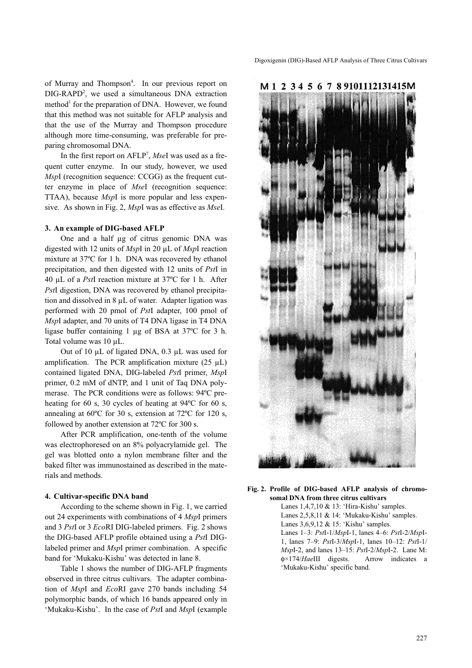of Murray and Thompson<sup>4</sup>. In our previous report on DIG-RAPD<sup>2</sup>, we used a simultaneous DNA extraction method<sup>1</sup> for the preparation of DNA. However, we found that this method was not suitable for AFLP analysis and that the use of the Murray and Thompson procedure although more time-consuming, was preferable for preparing chromosomal DNA.

In the first report on  $AFLP<sup>7</sup>$ , MseI was used as a frequent cutter enzyme. In our study, however, we used MspI (recognition sequence: CCGG) as the frequent cutter enzyme in place of MseI (recognition sequence: TTAA), because MspI is more popular and less expensive. As shown in Fig. 2, MspI was as effective as MseI.

#### 3. An example of DIG-based AFLP

One and a half µg of citrus genomic DNA was digested with 12 units of MspI in 20 µL of MspI reaction mixture at 37ºC for 1 h. DNA was recovered by ethanol precipitation, and then digested with 12 units of PstI in 40 µL of a PstI reaction mixture at 37ºC for 1 h. After PstI digestion, DNA was recovered by ethanol precipitation and dissolved in 8 µL of water. Adapter ligation was performed with 20 pmol of PstI adapter, 100 pmol of MspI adapter, and 70 units of T4 DNA ligase in T4 DNA ligase buffer containing 1 µg of BSA at 37ºC for 3 h. Total volume was 10 µL.

Out of 10 µL of ligated DNA, 0.3 µL was used for amplification. The PCR amplification mixture  $(25 \mu L)$ contained ligated DNA, DIG-labeled PstI primer, MspI primer, 0.2 mM of dNTP, and 1 unit of Taq DNA polymerase. The PCR conditions were as follows: 94ºC preheating for 60 s, 30 cycles of heating at 94ºC for 60 s, annealing at 60ºC for 30 s, extension at 72ºC for 120 s, followed by another extension at 72ºC for 300 s.

After PCR amplification, one-tenth of the volume was electrophoresed on an 8% polyacrylamide gel. The gel was blotted onto a nylon membrane filter and the baked filter was immunostained as described in the materials and methods.

#### 4. Cultivar-specific DNA band

According to the scheme shown in Fig. 1, we carried out 24 experiments with combinations of 4 MspI primers and 3 PstI or 3 EcoRI DIG-labeled primers. Fig. 2 shows the DIG-based AFLP profile obtained using a PstI DIGlabeled primer and MspI primer combination. A specific band for 'Mukaku-Kishu' was detected in lane 8.

Table 1 shows the number of DIG-AFLP fragments observed in three citrus cultivars. The adapter combination of MspI and EcoRI gave 270 bands including 54 polymorphic bands, of which 16 bands appeared only in 'Mukaku-Kishu'. In the case of PstI and MspI (example





#### Fig. 2. Profile of DIG-based AFLP analysis of chromosomal DNA from three citrus cultivars

Lanes 1,4,7,10 & 13: 'Hira-Kishu' samples. Lanes 2,5,8,11 & 14: 'Mukaku-Kishu' samples. Lanes 3,6,9,12 & 15: 'Kishu' samples. Lanes  $1-3$ :  $PstI-1/MspI-1$ , lanes  $4-6$ :  $PstI-2/MspI-$ 1, lanes 7–9: PstI-3/MspI-1, lanes 10–12: PstI-1/ MspI-2, and lanes 13–15: PstI-2/MspI-2. Lane M: φ×174/HaeIII digests. Arrow indicates a 'Mukaku-Kishu' specific band.